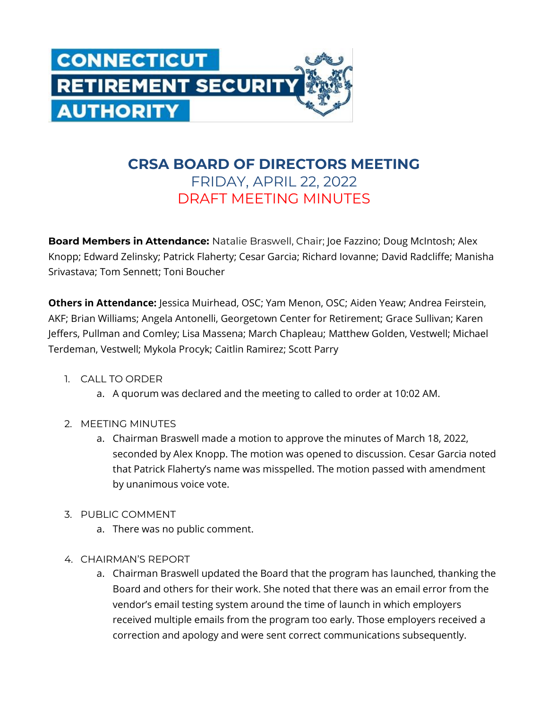

## **CRSA BOARD OF DIRECTORS MEETING** FRIDAY, APRIL 22, 2022 DRAFT MEETING MINUTES

**Board Members in Attendance:** Natalie Braswell, Chair; Joe Fazzino; Doug McIntosh; Alex Knopp; Edward Zelinsky; Patrick Flaherty; Cesar Garcia; Richard Iovanne; David Radcliffe; Manisha Srivastava; Tom Sennett; Toni Boucher

**Others in Attendance:** Jessica Muirhead, OSC; Yam Menon, OSC; Aiden Yeaw; Andrea Feirstein, AKF; Brian Williams; Angela Antonelli, Georgetown Center for Retirement; Grace Sullivan; Karen Jeffers, Pullman and Comley; Lisa Massena; March Chapleau; Matthew Golden, Vestwell; Michael Terdeman, Vestwell; Mykola Procyk; Caitlin Ramirez; Scott Parry

- 1. CALL TO ORDER
	- a. A quorum was declared and the meeting to called to order at 10:02 AM.
- 2. MEETING MINUTES
	- a. Chairman Braswell made a motion to approve the minutes of March 18, 2022, seconded by Alex Knopp. The motion was opened to discussion. Cesar Garcia noted that Patrick Flaherty's name was misspelled. The motion passed with amendment by unanimous voice vote.
- 3. PUBLIC COMMENT
	- a. There was no public comment.
- 4. CHAIRMAN'S REPORT
	- a. Chairman Braswell updated the Board that the program has launched, thanking the Board and others for their work. She noted that there was an email error from the vendor's email testing system around the time of launch in which employers received multiple emails from the program too early. Those employers received a correction and apology and were sent correct communications subsequently.